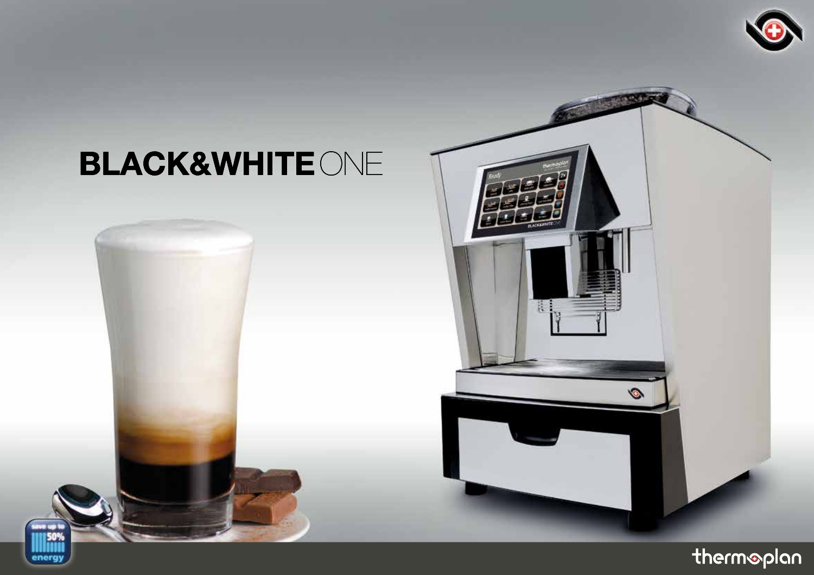

# **BLACK&WHITE ONE**





陈

 $\bullet$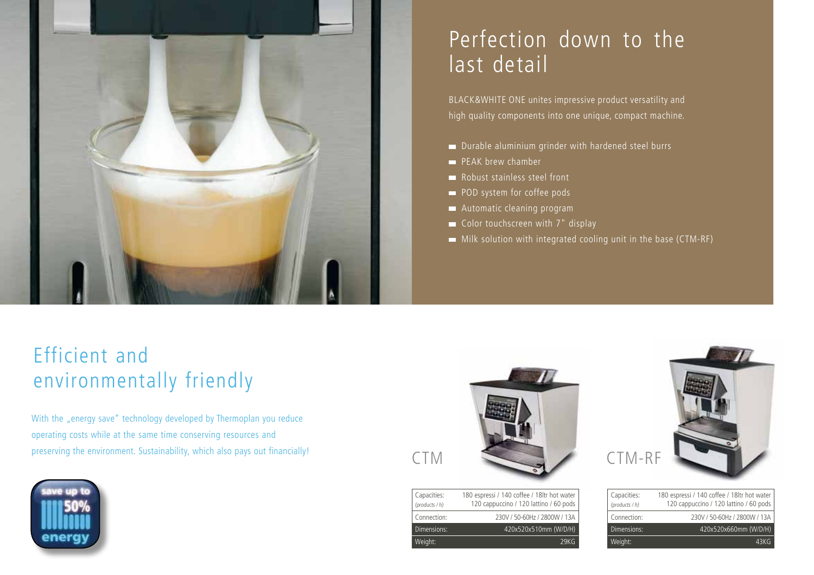

## Perfection down to the last detail

BLACK&WHITE ONE unites impressive product versatility and high quality components into one unique, compact machine.

- Durable aluminium grinder with hardened steel burrs
- **PEAK brew chamber**
- Robust stainless steel front
- POD system for coffee pods
- Automatic cleaning program
- Color touchscreen with 7" display
- Milk solution with integrated cooling unit in the base (CTM-RF)

## Efficient and environmentally friendly

With the "energy save" technology developed by Thermoplan you reduce operating costs while at the same time conserving resources and preserving the environment. Sustainability, which also pays out financially!





| Capacities:<br>(products / h) | 180 espressi / 140 coffee / 18ltr hot water<br>120 cappuccino / 120 lattino / 60 pods |
|-------------------------------|---------------------------------------------------------------------------------------|
| Connection:                   | 230V / 50-60Hz / 2800W / 13A                                                          |
| Dimensions:                   | 420x520x510mm (W/D/H)                                                                 |
| Weight:                       | 79KG                                                                                  |

| Capacities:<br>(products / h) | 180 espressi / 140 coffee / 18ltr hot water<br>120 cappuccino / 120 lattino / 60 pods |
|-------------------------------|---------------------------------------------------------------------------------------|
| Connection:                   | 230V / 50-60Hz / 2800W / 13A                                                          |
| Dimensions:                   | 420x520x660mm (W/D/H)                                                                 |
| Weight:                       | 43KG.                                                                                 |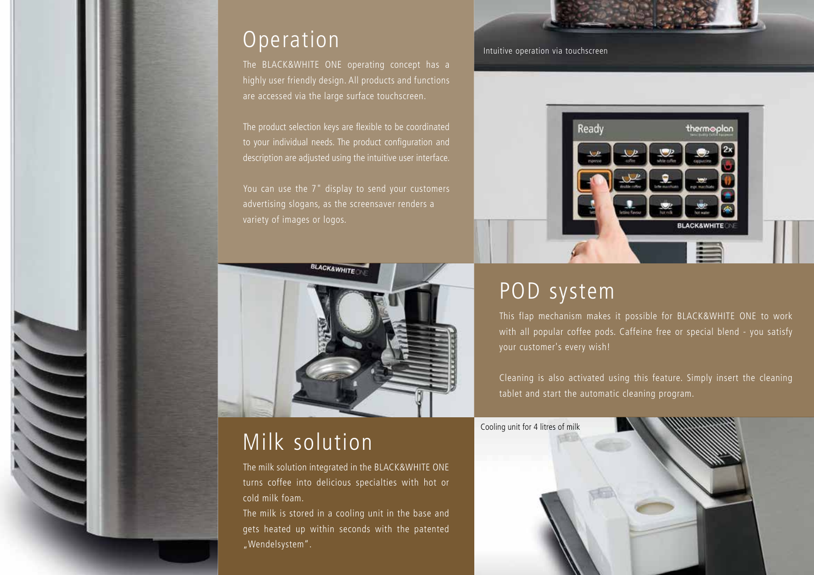# **Operation**

The BLACK&WHITE ONE operating concept has a highly user friendly design. All products and functions are accessed via the large surface touchscreen.

The product selection keys are flexible to be coordinated to your individual needs. The product configuration and description are adjusted using the intuitive user interface.

You can use the 7" display to send your customers advertising slogans, as the screensaver renders a variety of images or logos.



# Milk solution

The milk solution integrated in the BLACK&WHITE ONE turns coffee into delicious specialties with hot or cold milk foam.

The milk is stored in a cooling unit in the base and gets heated up within seconds with the patented "Wendelsystem".



Intuitive operation via touchscreen



## POD system

This flap mechanism makes it possible for BLACK&WHITE ONE to work with all popular coffee pods. Caffeine free or special blend - you satisfy your customer's every wish!

Cleaning is also activated using this feature. Simply insert the cleaning tablet and start the automatic cleaning program.